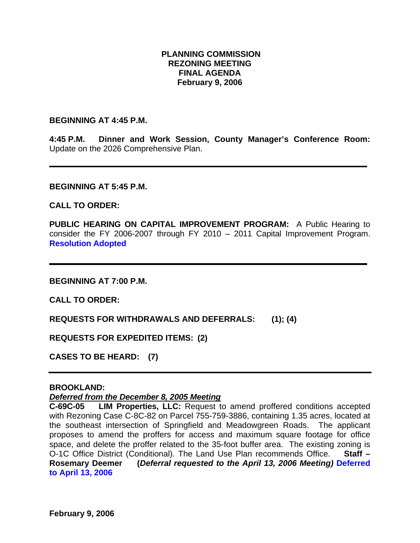### **PLANNING COMMISSION REZONING MEETING FINAL AGENDA February 9, 2006**

#### **BEGINNING AT 4:45 P.M.**

**4:45 P.M. Dinner and Work Session, County Manager's Conference Room:** Update on the 2026 Comprehensive Plan.

#### **BEGINNING AT 5:45 P.M.**

### **CALL TO ORDER:**

**PUBLIC HEARING ON CAPITAL IMPROVEMENT PROGRAM:** A Public Hearing to consider the FY 2006-2007 through FY 2010 – 2011 Capital Improvement Program. **Resolution Adopted** 

**BEGINNING AT 7:00 P.M.** 

**CALL TO ORDER:** 

**REQUESTS FOR WITHDRAWALS AND DEFERRALS: (1); (4)** 

**REQUESTS FOR EXPEDITED ITEMS: (2)** 

**CASES TO BE HEARD: (7)** 

#### **BROOKLAND:**

*Deferred from the December 8, 2005 Meeting*

**C-69C-05 LIM Properties, LLC:** Request to amend proffered conditions accepted with Rezoning Case C-8C-82 on Parcel 755-759-3886, containing 1.35 acres, located at the southeast intersection of Springfield and Meadowgreen Roads. The applicant proposes to amend the proffers for access and maximum square footage for office space, and delete the proffer related to the 35-foot buffer area. The existing zoning is O-1C Office District (Conditional). The Land Use Plan recommends Office. **Staff – Rosemary Deemer (***Deferral requested to the April 13, 2006 Meeting)* **Deferred to April 13, 2006**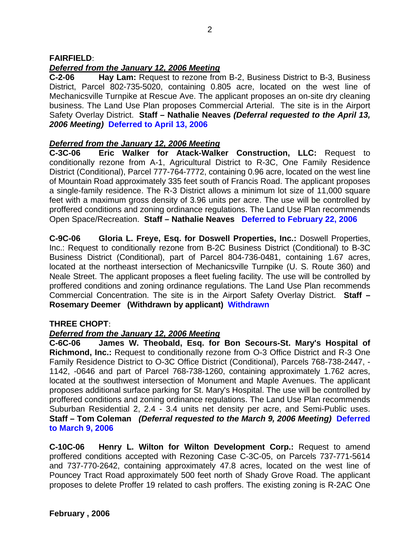## **FAIRFIELD**:

# *Deferred from the January 12, 2006 Meeting*

**C-2-06 Hay Lam:** Request to rezone from B-2, Business District to B-3, Business District, Parcel 802-735-5020, containing 0.805 acre, located on the west line of Mechanicsville Turnpike at Rescue Ave. The applicant proposes an on-site dry cleaning business. The Land Use Plan proposes Commercial Arterial. The site is in the Airport Safety Overlay District. **Staff – Nathalie Neaves** *(Deferral requested to the April 13, 2006 Meeting)* **Deferred to April 13, 2006** 

## *Deferred from the January 12, 2006 Meeting*

**C-3C-06 Eric Walker for Atack-Walker Construction, LLC:** Request to conditionally rezone from A-1, Agricultural District to R-3C, One Family Residence District (Conditional), Parcel 777-764-7772, containing 0.96 acre, located on the west line of Mountain Road approximately 335 feet south of Francis Road. The applicant proposes a single-family residence. The R-3 District allows a minimum lot size of 11,000 square feet with a maximum gross density of 3.96 units per acre. The use will be controlled by proffered conditions and zoning ordinance regulations. The Land Use Plan recommends Open Space/Recreation. **Staff – Nathalie Neaves Deferred to February 22, 2006** 

**C-9C-06 Gloria L. Freye, Esq. for Doswell Properties, Inc.:** Doswell Properties, Inc.: Request to conditionally rezone from B-2C Business District (Conditional) to B-3C Business District (Conditional), part of Parcel 804-736-0481, containing 1.67 acres, located at the northeast intersection of Mechanicsville Turnpike (U. S. Route 360) and Neale Street. The applicant proposes a fleet fueling facility. The use will be controlled by proffered conditions and zoning ordinance regulations. The Land Use Plan recommends Commercial Concentration. The site is in the Airport Safety Overlay District. **Staff – Rosemary Deemer (Withdrawn by applicant) Withdrawn**

## **THREE CHOPT**:

## *Deferred from the January 12, 2006 Meeting*

**C-6C-06 James W. Theobald, Esq. for Bon Secours-St. Mary's Hospital of Richmond, Inc.:** Request to conditionally rezone from O-3 Office District and R-3 One Family Residence District to O-3C Office District (Conditional), Parcels 768-738-2447, - 1142, -0646 and part of Parcel 768-738-1260, containing approximately 1.762 acres, located at the southwest intersection of Monument and Maple Avenues. The applicant proposes additional surface parking for St. Mary's Hospital. The use will be controlled by proffered conditions and zoning ordinance regulations. The Land Use Plan recommends Suburban Residential 2, 2.4 - 3.4 units net density per acre, and Semi-Public uses. **Staff – Tom Coleman** *(Deferral requested to the March 9, 2006 Meeting)* **Deferred to March 9, 2006** 

**C-10C-06 Henry L. Wilton for Wilton Development Corp.:** Request to amend proffered conditions accepted with Rezoning Case C-3C-05, on Parcels 737-771-5614 and 737-770-2642, containing approximately 47.8 acres, located on the west line of Pouncey Tract Road approximately 500 feet north of Shady Grove Road. The applicant proposes to delete Proffer 19 related to cash proffers. The existing zoning is R-2AC One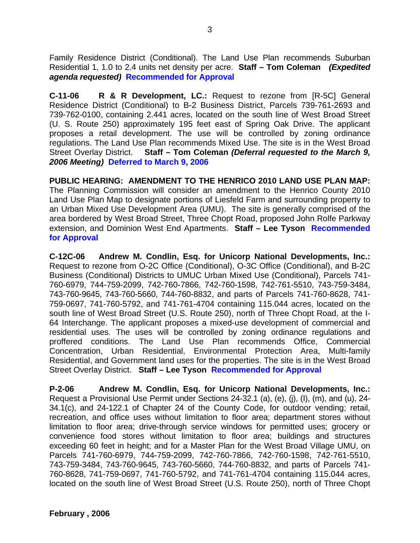Family Residence District (Conditional). The Land Use Plan recommends Suburban Residential 1, 1.0 to 2.4 units net density per acre. **Staff – Tom Coleman** *(Expedited agenda requested)* **Recommended for Approval** 

**C-11-06 R & R Development, LC.:** Request to rezone from [R-5C] General Residence District (Conditional) to B-2 Business District, Parcels 739-761-2693 and 739-762-0100, containing 2.441 acres, located on the south line of West Broad Street (U. S. Route 250) approximately 195 feet east of Spring Oak Drive. The applicant proposes a retail development. The use will be controlled by zoning ordinance regulations. The Land Use Plan recommends Mixed Use. The site is in the West Broad Street Overlay District. **Staff – Tom Coleman** *(Deferral requested to the March 9, 2006 Meeting)* **Deferred to March 9, 2006** 

**PUBLIC HEARING: AMENDMENT TO THE HENRICO 2010 LAND USE PLAN MAP:** The Planning Commission will consider an amendment to the Henrico County 2010 Land Use Plan Map to designate portions of Liesfeld Farm and surrounding property to an Urban Mixed Use Development Area (UMU). The site is generally comprised of the area bordered by West Broad Street, Three Chopt Road, proposed John Rolfe Parkway extension, and Dominion West End Apartments. **Staff – Lee Tyson Recommended for Approval** 

**C-12C-06 Andrew M. Condlin, Esq. for Unicorp National Developments, Inc.:** Request to rezone from O-2C Office (Conditional), O-3C Office (Conditional), and B-2C Business (Conditional) Districts to UMUC Urban Mixed Use (Conditional), Parcels 741- 760-6979, 744-759-2099, 742-760-7866, 742-760-1598, 742-761-5510, 743-759-3484, 743-760-9645, 743-760-5660, 744-760-8832, and parts of Parcels 741-760-8628, 741- 759-0697, 741-760-5792, and 741-761-4704 containing 115.044 acres, located on the south line of West Broad Street (U.S. Route 250), north of Three Chopt Road, at the I-64 Interchange. The applicant proposes a mixed-use development of commercial and residential uses. The uses will be controlled by zoning ordinance regulations and proffered conditions. The Land Use Plan recommends Office, Commercial Concentration, Urban Residential, Environmental Protection Area, Multi-family Residential, and Government land uses for the properties. The site is in the West Broad Street Overlay District. **Staff – Lee Tyson Recommended for Approval** 

**P-2-06 Andrew M. Condlin, Esq. for Unicorp National Developments, Inc.:** Request a Provisional Use Permit under Sections 24-32.1 (a), (e), (j), (I), (m), and (u), 24- 34.1(c), and 24-122.1 of Chapter 24 of the County Code, for outdoor vending; retail, recreation, and office uses without limitation to floor area; department stores without limitation to floor area; drive-through service windows for permitted uses; grocery or convenience food stores without limitation to floor area; buildings and structures exceeding 60 feet in height; and for a Master Plan for the West Broad Village UMU, on Parcels 741-760-6979, 744-759-2099, 742-760-7866, 742-760-1598, 742-761-5510, 743-759-3484, 743-760-9645, 743-760-5660, 744-760-8832, and parts of Parcels 741- 760-8628, 741-759-0697, 741-760-5792, and 741-761-4704 containing 115.044 acres, located on the south line of West Broad Street (U.S. Route 250), north of Three Chopt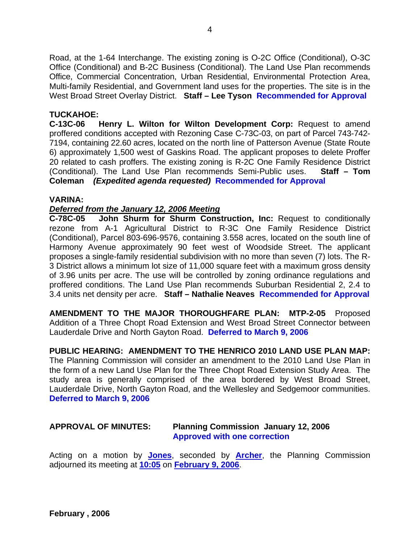Road, at the 1-64 Interchange. The existing zoning is O-2C Office (Conditional), O-3C Office (Conditional) and B-2C Business (Conditional). The Land Use Plan recommends Office, Commercial Concentration, Urban Residential, Environmental Protection Area, Multi-family Residential, and Government land uses for the properties. The site is in the West Broad Street Overlay District. **Staff – Lee Tyson Recommended for Approval** 

### **TUCKAHOE:**

**C-13C-06 Henry L. Wilton for Wilton Development Corp:** Request to amend proffered conditions accepted with Rezoning Case C-73C-03, on part of Parcel 743-742- 7194, containing 22.60 acres, located on the north line of Patterson Avenue (State Route 6) approximately 1,500 west of Gaskins Road. The applicant proposes to delete Proffer 20 related to cash proffers. The existing zoning is R-2C One Family Residence District (Conditional). The Land Use Plan recommends Semi-Public uses. **Staff – Tom Coleman** *(Expedited agenda requested)* **Recommended for Approval** 

### **VARINA:**

### *Deferred from the January 12, 2006 Meeting*

**C-78C-05 John Shurm for Shurm Construction, Inc:** Request to conditionally rezone from A-1 Agricultural District to R-3C One Family Residence District (Conditional), Parcel 803-696-9576, containing 3.558 acres, located on the south line of Harmony Avenue approximately 90 feet west of Woodside Street. The applicant proposes a single-family residential subdivision with no more than seven (7) lots. The R-3 District allows a minimum lot size of 11,000 square feet with a maximum gross density of 3.96 units per acre. The use will be controlled by zoning ordinance regulations and proffered conditions. The Land Use Plan recommends Suburban Residential 2, 2.4 to 3.4 units net density per acre. **Staff – Nathalie Neaves Recommended for Approval** 

**AMENDMENT TO THE MAJOR THOROUGHFARE PLAN: MTP-2-05** Proposed Addition of a Three Chopt Road Extension and West Broad Street Connector between Lauderdale Drive and North Gayton Road. **Deferred to March 9, 2006**

**PUBLIC HEARING: AMENDMENT TO THE HENRICO 2010 LAND USE PLAN MAP:**  The Planning Commission will consider an amendment to the 2010 Land Use Plan in the form of a new Land Use Plan for the Three Chopt Road Extension Study Area. The study area is generally comprised of the area bordered by West Broad Street, Lauderdale Drive, North Gayton Road, and the Wellesley and Sedgemoor communities. **Deferred to March 9, 2006** 

#### **APPROVAL OF MINUTES: Planning Commission January 12, 2006 Approved with one correction**

Acting on a motion by **Jones**, seconded by **Archer**, the Planning Commission adjourned its meeting at **10:05** on **February 9, 2006**.